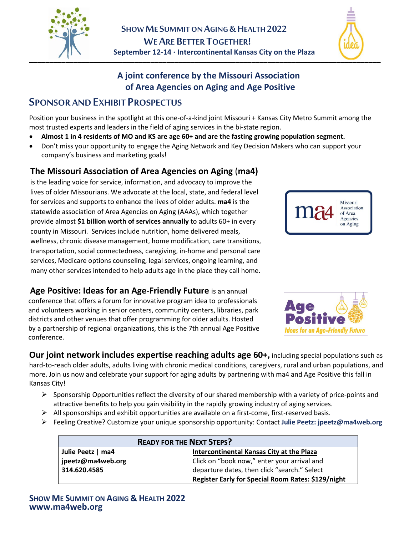



## **A joint conference by the Missouri Association of Area Agencies on Aging and Age Positive**

## **SPONSOR AND EXHIBIT PROSPECTUS**

Position your business in the spotlight at this one-of-a-kind joint Missouri + Kansas City Metro Summit among the most trusted experts and leaders in the field of aging services in the bi-state region.

- **Almost 1 in 4 residents of MO and KS are age 60+ and are the fasting growing population segment.**
- Don't miss your opportunity to engage the Aging Network and Key Decision Makers who can support your company's business and marketing goals!

### **The Missouri Association of Area Agencies on Aging** (**ma4)**

is the leading voice for service, information, and advocacy to improve the lives of older Missourians. We advocate at the local, state, and federal level for services and supports to enhance the lives of older adults. **ma4** is the statewide association of Area Agencies on Aging (AAAs), which together provide almost **\$1 billion worth of services annually** to adults 60+ in every county in Missouri. Services include nutrition, home delivered meals, wellness, chronic disease management, home modification, care transitions, transportation, social connectedness, caregiving, in-home and personal care services, Medicare options counseling, legal services, ongoing learning, and many other services intended to help adults age in the place they call home.

**Age Positive: Ideas for an Age-Friendly Future** is an annual conference that offers a forum for innovative program idea to professionals and volunteers working in senior centers, community centers, libraries, park districts and other venues that offer programming for older adults. Hosted by a partnership of regional organizations, this is the 7th annual Age Positive conference.





**Our joint network includes expertise reaching adults age 60+,** including special populations such as hard-to-reach older adults, adults living with chronic medical conditions, caregivers, rural and urban populations, and more. Join us now and celebrate your support for aging adults by partnering with ma4 and Age Positive this fall in Kansas City!

- $\triangleright$  Sponsorship Opportunities reflect the diversity of our shared membership with a variety of price-points and attractive benefits to help you gain visibility in the rapidly growing industry of aging services.
- $\triangleright$  All sponsorships and exhibit opportunities are available on a first-come, first-reserved basis.
- Feeling Creative? Customize your unique sponsorship opportunity: Contact **Julie Peetz: jpeetz@ma4web.org**

| <b>READY FOR THE NEXT STEPS?</b> |                                                    |
|----------------------------------|----------------------------------------------------|
| Julie Peetz   ma4                | Intercontinental Kansas City at the Plaza          |
| jpeetz@ma4web.org                | Click on "book now," enter your arrival and        |
| 314.620.4585                     | departure dates, then click "search." Select       |
|                                  | Register Early for Special Room Rates: \$129/night |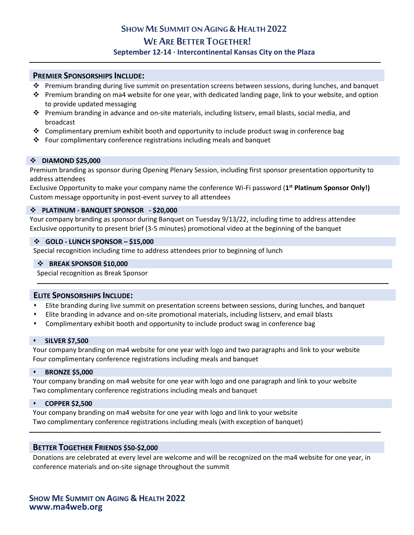# **SHOW ME SUMMIT ON AGING & HEALTH 2022 WE ARE BETTER TOGETHER!**<br>**September 12-14 · Intercontinental Kansas City on the Plaza**

#### **PREMIER SPONSORSHIPS INCLUDE:**

- Premium branding during live summit on presentation screens between sessions, during lunches, and banquet
- Premium branding on ma4 website for one year, with dedicated landing page, link to your website, and option to provide updated messaging
- Premium branding in advance and on-site materials, including listserv, email blasts, social media, and broadcast
- $\div$  Complimentary premium exhibit booth and opportunity to include product swag in conference bag
- $\div$  Four complimentary conference registrations including meals and banquet

#### **DIAMOND \$25,000**

Premium branding as sponsor during Opening Plenary Session, including first sponsor presentation opportunity to address attendees

Exclusive Opportunity to make your company name the conference Wi-Fi password (**1st Platinum Sponsor Only!)** Custom message opportunity in post-event survey to all attendees

#### **PLATINUM - BANQUET SPONSOR - \$20,000**

Your company branding as sponsor during Banquet on Tuesday 9/13/22, including time to address attendee Exclusive opportunity to present brief (3-5 minutes) promotional video at the beginning of the banquet

#### **GOLD - LUNCH SPONSOR – \$15,000**

Special recognition including time to address attendees prior to beginning of lunch

#### **BREAK SPONSOR \$10,000**

Special recognition as Break Sponsor **\_\_\_\_\_\_\_\_\_\_\_\_\_\_\_\_\_\_\_\_\_\_\_\_\_\_\_\_\_\_\_\_\_\_\_\_\_\_\_\_\_\_\_\_\_\_\_\_\_\_\_\_\_\_\_\_\_\_\_\_\_\_\_\_\_\_\_\_\_\_\_\_\_\_\_\_\_\_\_\_\_\_\_\_\_\_\_**

#### **ELITE SPONSORSHIPS INCLUDE:**

- Elite branding during live summit on presentation screens between sessions, during lunches, and banquet
- Elite branding in advance and on-site promotional materials, including listserv, and email blasts
- Complimentary exhibit booth and opportunity to include product swag in conference bag

#### **SILVER \$7,500**

Your company branding on ma4 website for one year with logo and two paragraphs and link to your website Four complimentary conference registrations including meals and banquet

#### **BRONZE \$5,000**

Your company branding on ma4 website for one year with logo and one paragraph and link to your website Two complimentary conference registrations including meals and banquet

#### **COPPER \$2,500**

Your company branding on ma4 website for one year with logo and link to your website Two complimentary conference registrations including meals (with exception of banquet)

#### **BETTER TOGETHER FRIENDS \$50-\$2,000**

Donations are celebrated at every level are welcome and will be recognized on the ma4 website for one year, in conference materials and on-site signage throughout the summit